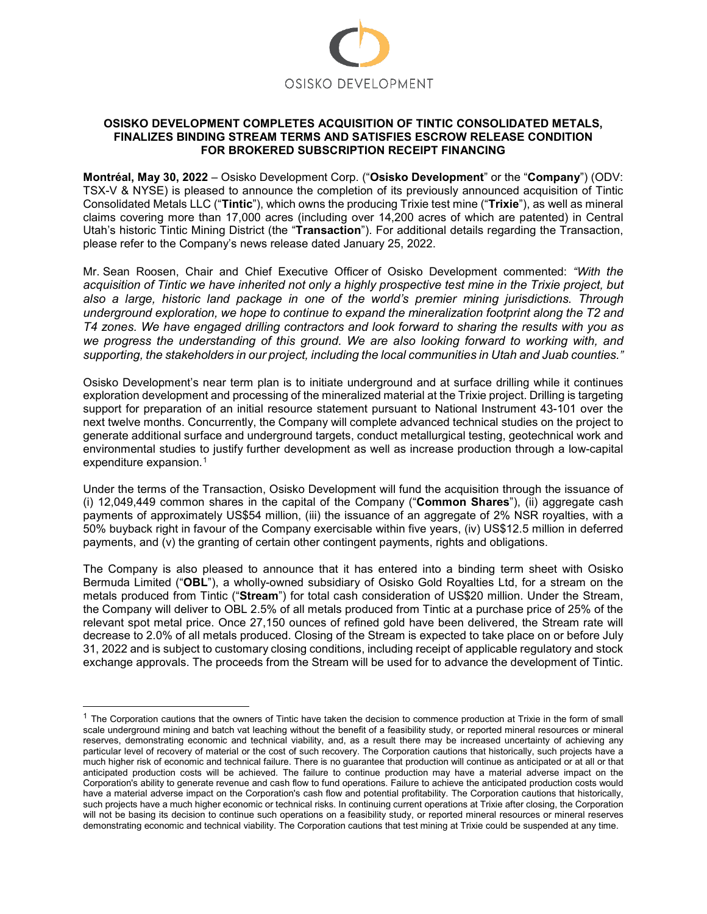

#### **OSISKO DEVELOPMENT COMPLETES ACQUISITION OF TINTIC CONSOLIDATED METALS, FINALIZES BINDING STREAM TERMS AND SATISFIES ESCROW RELEASE CONDITION FOR BROKERED SUBSCRIPTION RECEIPT FINANCING**

**Montréal, May 30, 2022** – Osisko Development Corp. ("**Osisko Development**" or the "**Company**") (ODV: TSX-V & NYSE) is pleased to announce the completion of its previously announced acquisition of Tintic Consolidated Metals LLC ("**Tintic**"), which owns the producing Trixie test mine ("**Trixie**"), as well as mineral claims covering more than 17,000 acres (including over 14,200 acres of which are patented) in Central Utah's historic Tintic Mining District (the "**Transaction**"). For additional details regarding the Transaction, please refer to the Company's news release dated January 25, 2022.

Mr. Sean Roosen, Chair and Chief Executive Officer of Osisko Development commented: *"With the acquisition of Tintic we have inherited not only a highly prospective test mine in the Trixie project, but also a large, historic land package in one of the world's premier mining jurisdictions. Through underground exploration, we hope to continue to expand the mineralization footprint along the T2 and T4 zones. We have engaged drilling contractors and look forward to sharing the results with you as we progress the understanding of this ground. We are also looking forward to working with, and supporting, the stakeholders in our project, including the local communities in Utah and Juab counties."*

Osisko Development's near term plan is to initiate underground and at surface drilling while it continues exploration development and processing of the mineralized material at the Trixie project. Drilling is targeting support for preparation of an initial resource statement pursuant to National Instrument 43-101 over the next twelve months. Concurrently, the Company will complete advanced technical studies on the project to generate additional surface and underground targets, conduct metallurgical testing, geotechnical work and environmental studies to justify further development as well as increase production through a low-capital expenditure expansion.<sup>[1](#page-0-0)</sup>

Under the terms of the Transaction, Osisko Development will fund the acquisition through the issuance of (i) 12,049,449 common shares in the capital of the Company ("**Common Shares**"), (ii) aggregate cash payments of approximately US\$54 million, (iii) the issuance of an aggregate of 2% NSR royalties, with a 50% buyback right in favour of the Company exercisable within five years, (iv) US\$12.5 million in deferred payments, and (v) the granting of certain other contingent payments, rights and obligations.

The Company is also pleased to announce that it has entered into a binding term sheet with Osisko Bermuda Limited ("**OBL**"), a wholly-owned subsidiary of Osisko Gold Royalties Ltd, for a stream on the metals produced from Tintic ("**Stream**") for total cash consideration of US\$20 million. Under the Stream, the Company will deliver to OBL 2.5% of all metals produced from Tintic at a purchase price of 25% of the relevant spot metal price. Once 27,150 ounces of refined gold have been delivered, the Stream rate will decrease to 2.0% of all metals produced. Closing of the Stream is expected to take place on or before July 31, 2022 and is subject to customary closing conditions, including receipt of applicable regulatory and stock exchange approvals. The proceeds from the Stream will be used for to advance the development of Tintic.

<span id="page-0-0"></span> $1$  The Corporation cautions that the owners of Tintic have taken the decision to commence production at Trixie in the form of small scale underground mining and batch vat leaching without the benefit of a feasibility study, or reported mineral resources or mineral reserves, demonstrating economic and technical viability, and, as a result there may be increased uncertainty of achieving any particular level of recovery of material or the cost of such recovery. The Corporation cautions that historically, such projects have a much higher risk of economic and technical failure. There is no guarantee that production will continue as anticipated or at all or that anticipated production costs will be achieved. The failure to continue production may have a material adverse impact on the Corporation's ability to generate revenue and cash flow to fund operations. Failure to achieve the anticipated production costs would have a material adverse impact on the Corporation's cash flow and potential profitability. The Corporation cautions that historically, such projects have a much higher economic or technical risks. In continuing current operations at Trixie after closing, the Corporation will not be basing its decision to continue such operations on a feasibility study, or reported mineral resources or mineral reserves demonstrating economic and technical viability. The Corporation cautions that test mining at Trixie could be suspended at any time.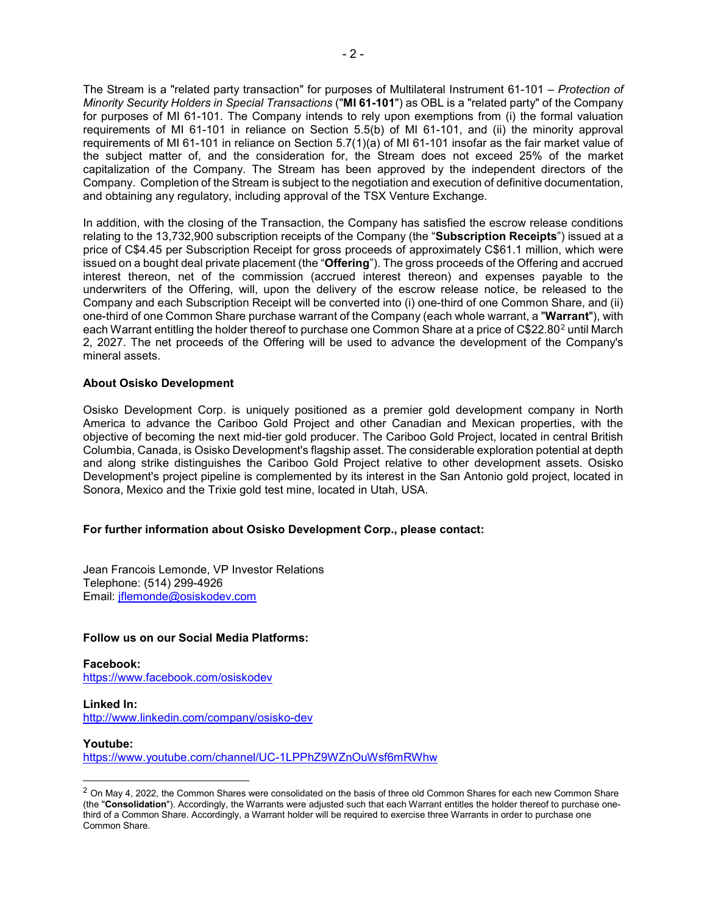The Stream is a "related party transaction" for purposes of Multilateral Instrument 61-101 – *Protection of Minority Security Holders in Special Transactions* ("**MI 61-101**") as OBL is a "related party" of the Company for purposes of MI 61-101. The Company intends to rely upon exemptions from (i) the formal valuation requirements of MI 61-101 in reliance on Section 5.5(b) of MI 61-101, and (ii) the minority approval requirements of MI 61-101 in reliance on Section 5.7(1)(a) of MI 61-101 insofar as the fair market value of the subject matter of, and the consideration for, the Stream does not exceed 25% of the market capitalization of the Company. The Stream has been approved by the independent directors of the Company. Completion of the Stream is subject to the negotiation and execution of definitive documentation, and obtaining any regulatory, including approval of the TSX Venture Exchange.

In addition, with the closing of the Transaction, the Company has satisfied the escrow release conditions relating to the 13,732,900 subscription receipts of the Company (the "**Subscription Receipts**") issued at a price of C\$4.45 per Subscription Receipt for gross proceeds of approximately C\$61.1 million, which were issued on a bought deal private placement (the "**Offering**"). The gross proceeds of the Offering and accrued interest thereon, net of the commission (accrued interest thereon) and expenses payable to the underwriters of the Offering, will, upon the delivery of the escrow release notice, be released to the Company and each Subscription Receipt will be converted into (i) one-third of one Common Share, and (ii) one-third of one Common Share purchase warrant of the Company (each whole warrant, a "**Warrant**"), with each Warrant entitling the holder thereof to purchase one Common Share at a price of C\$[2](#page-1-0)2.80<sup>2</sup> until March 2, 2027. The net proceeds of the Offering will be used to advance the development of the Company's mineral assets.

### **About Osisko Development**

Osisko Development Corp. is uniquely positioned as a premier gold development company in North America to advance the Cariboo Gold Project and other Canadian and Mexican properties, with the objective of becoming the next mid-tier gold producer. The Cariboo Gold Project, located in central British Columbia, Canada, is Osisko Development's flagship asset. The considerable exploration potential at depth and along strike distinguishes the Cariboo Gold Project relative to other development assets. Osisko Development's project pipeline is complemented by its interest in the San Antonio gold project, located in Sonora, Mexico and the Trixie gold test mine, located in Utah, USA.

## **For further information about Osisko Development Corp., please contact:**

Jean Francois Lemonde, VP Investor Relations Telephone: (514) 299-4926 Email: [jflemonde@osiskodev.com](mailto:jflemonde@osiskodev.com)

#### **Follow us on our Social Media Platforms:**

**Facebook:** <https://www.facebook.com/osiskodev>

# **Linked In:**

<http://www.linkedin.com/company/osisko-dev>

#### **Youtube:**

-

<https://www.youtube.com/channel/UC-1LPPhZ9WZnOuWsf6mRWhw>

<span id="page-1-0"></span> $2$  On May 4, 2022, the Common Shares were consolidated on the basis of three old Common Shares for each new Common Share (the "**Consolidation**"). Accordingly, the Warrants were adjusted such that each Warrant entitles the holder thereof to purchase onethird of a Common Share. Accordingly, a Warrant holder will be required to exercise three Warrants in order to purchase one Common Share.